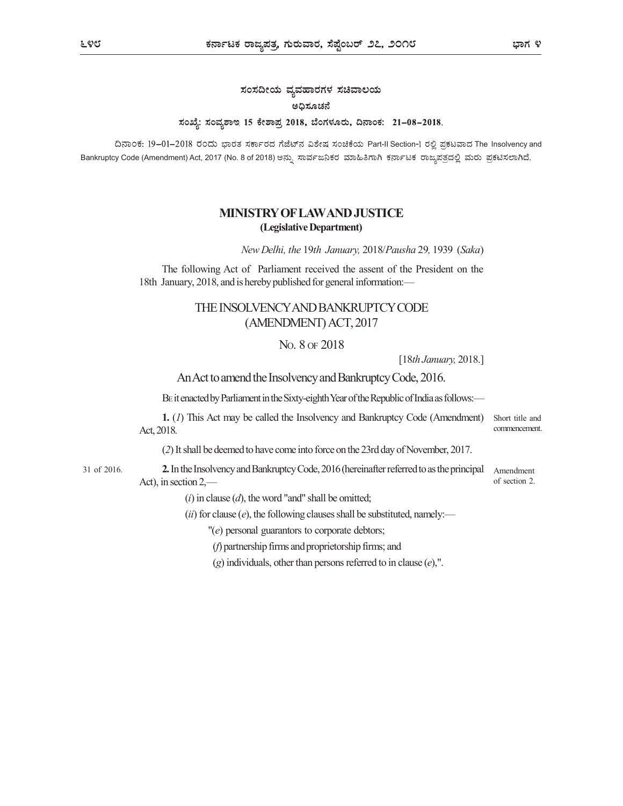## ಸಂಸದೀಯ ವ್ಯವಹಾರಗಳ ಸಚಿವಾಲಯ ಅಧಿಸೂಚನೆ ಸಂಖ್ಯೆ: ಸಂವ್ಯಶಾಇ 15 ಕೇಶಾಪ್ರ 2018, ಬೆಂಗಳೂರು, ದಿನಾಂಕ: 21-08-2018.

ದಿನಾಂಕ: 19–01–2018 ರಂದು ಭಾರತ ಸರ್ಕಾರದ ಗೆಜೆಟ್ನ ವಿಶೇಷ ಸಂಚಿಕೆಯ Part-II Section-I ರಲ್ಲಿ ಪ್ರಕಟವಾದ The Insolvency and Bankruptcy Code (Amendment) Act, 2017 (No. 8 of 2018) ಅನ್ನು ಸಾರ್ವಜನಿಕರ ಮಾಹಿತಿಗಾಗಿ ಕರ್ನಾಟಕ ರಾಜ್ಯಪತ್ರದಲ್ಲಿ ಮರು ಪ್ರಕಟಿಸಲಾಗಿದೆ.

## MINISTRY OF LAW AND JUSTICE (Legislative Department)

New Delhi, the 19th January, 2018/Pausha 29, 1939 (Saka)

The following Act of Parliament received the assent of the President on the 18th January, 2018, and is hereby published for general information:—

## THE INSOLVENCY AND BANKRUPTCY CODE (AMENDMENT) ACT, 2017

## NO. 8 OF 2018

[18th January, 2018.]

An Act to amend the Insolvency and Bankruptcy Code, 2016.

BE it enacted by Parliament in the Sixty-eighth Year of the Republic of India as follows:—

Short title and commencement. 1. (1) This Act may be called the Insolvency and Bankruptcy Code (Amendment) Act, 2018.

(2) It shall be deemed to have come into force on the 23rd day of November, 2017.

31 of 2016. **2.** In the Insolvency and Bankruptcy Code, 2016 (hereinafter referred to as the principal Amendment Act), in section 2,—

of section 2.

 $(i)$  in clause  $(d)$ , the word "and" shall be omitted;

(ii) for clause  $(e)$ , the following clauses shall be substituted, namely:—

 $''(e)$  personal guarantors to corporate debtors;

(f) partnership firms and proprietorship firms; and

 $(g)$  individuals, other than persons referred to in clause  $(e)$ ,".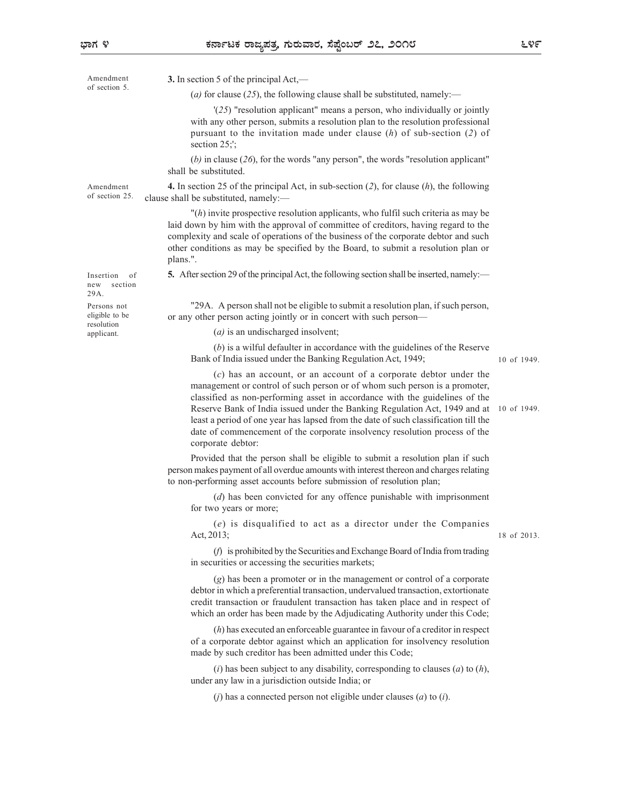| ಾಗ ೪                                        | ಕರ್ನಾಟಕ ರಾಜ್ಯಪತ್ರ, ಗುರುವಾರ, ಸೆಪ್ಟೆಂಬರ್ ೨೭, ೨೦೧೮                                                                                                                                                                                                                                                                                                                                                                                                                                                        | ೬೪೯         |
|---------------------------------------------|--------------------------------------------------------------------------------------------------------------------------------------------------------------------------------------------------------------------------------------------------------------------------------------------------------------------------------------------------------------------------------------------------------------------------------------------------------------------------------------------------------|-------------|
| Amendment                                   | 3. In section 5 of the principal Act,—                                                                                                                                                                                                                                                                                                                                                                                                                                                                 |             |
| of section 5.                               | (a) for clause (25), the following clause shall be substituted, namely:—                                                                                                                                                                                                                                                                                                                                                                                                                               |             |
|                                             | $'(25)$ "resolution applicant" means a person, who individually or jointly<br>with any other person, submits a resolution plan to the resolution professional<br>pursuant to the invitation made under clause $(h)$ of sub-section $(2)$ of<br>section $25$ ;';                                                                                                                                                                                                                                        |             |
|                                             | (b) in clause (26), for the words "any person", the words "resolution applicant"<br>shall be substituted.                                                                                                                                                                                                                                                                                                                                                                                              |             |
| Amendment<br>of section 25.                 | 4. In section 25 of the principal Act, in sub-section $(2)$ , for clause $(h)$ , the following<br>clause shall be substituted, namely:—                                                                                                                                                                                                                                                                                                                                                                |             |
|                                             | $"$ (h) invite prospective resolution applicants, who fulfil such criteria as may be<br>laid down by him with the approval of committee of creditors, having regard to the<br>complexity and scale of operations of the business of the corporate debtor and such<br>other conditions as may be specified by the Board, to submit a resolution plan or<br>plans.".                                                                                                                                     |             |
| Insertion of<br>new section<br>29A.         | 5. After section 29 of the principal Act, the following section shall be inserted, namely:—                                                                                                                                                                                                                                                                                                                                                                                                            |             |
| Persons not<br>eligible to be<br>resolution | "29A. A person shall not be eligible to submit a resolution plan, if such person,<br>or any other person acting jointly or in concert with such person—                                                                                                                                                                                                                                                                                                                                                |             |
| applicant.                                  | $(a)$ is an undischarged insolvent;                                                                                                                                                                                                                                                                                                                                                                                                                                                                    |             |
|                                             | $(b)$ is a wilful defaulter in accordance with the guidelines of the Reserve<br>Bank of India issued under the Banking Regulation Act, 1949;                                                                                                                                                                                                                                                                                                                                                           | 10 of 1949. |
|                                             | (c) has an account, or an account of a corporate debtor under the<br>management or control of such person or of whom such person is a promoter,<br>classified as non-performing asset in accordance with the guidelines of the<br>Reserve Bank of India issued under the Banking Regulation Act, 1949 and at<br>least a period of one year has lapsed from the date of such classification till the<br>date of commencement of the corporate insolvency resolution process of the<br>corporate debtor: | 10 of 1949. |
|                                             | Provided that the person shall be eligible to submit a resolution plan if such<br>person makes payment of all overdue amounts with interest thereon and charges relating<br>to non-performing asset accounts before submission of resolution plan;                                                                                                                                                                                                                                                     |             |
|                                             | $(d)$ has been convicted for any offence punishable with imprisonment<br>for two years or more;                                                                                                                                                                                                                                                                                                                                                                                                        |             |
|                                             | (e) is disqualified to act as a director under the Companies<br>Act, 2013;                                                                                                                                                                                                                                                                                                                                                                                                                             | 18 of 2013. |
|                                             | (f) is prohibited by the Securities and Exchange Board of India from trading<br>in securities or accessing the securities markets;                                                                                                                                                                                                                                                                                                                                                                     |             |
|                                             | (g) has been a promoter or in the management or control of a corporate<br>debtor in which a preferential transaction, undervalued transaction, extortionate<br>credit transaction or fraudulent transaction has taken place and in respect of<br>which an order has been made by the Adjudicating Authority under this Code;                                                                                                                                                                           |             |
|                                             | $(h)$ has executed an enforceable guarantee in favour of a creditor in respect<br>of a corporate debtor against which an application for insolvency resolution<br>made by such creditor has been admitted under this Code;                                                                                                                                                                                                                                                                             |             |
|                                             | (i) has been subject to any disability, corresponding to clauses (a) to (h),<br>under any law in a jurisdiction outside India; or                                                                                                                                                                                                                                                                                                                                                                      |             |

 $(j)$  has a connected person not eligible under clauses  $(a)$  to  $(i)$ .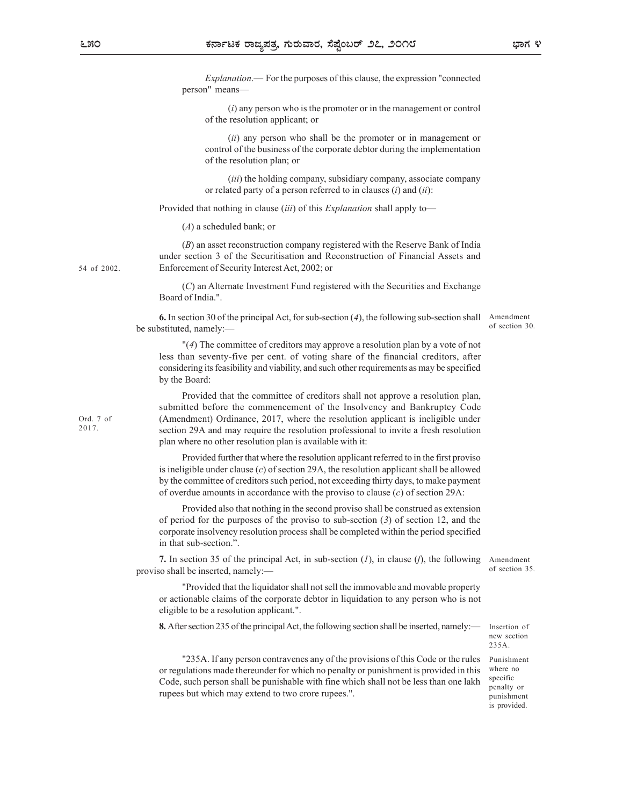|      | ಕರ್ನಾಟಕ ರಾಜ್ಯಪತ್ರ, ಗುರುವಾರ, ಸೆಪ್ಷೆಂಬರ್ ೨೭, ೨೦೧೮                                                                                                                                                                                                                                                                                                                                                  | ಭಾಗ ೪                                |
|------|--------------------------------------------------------------------------------------------------------------------------------------------------------------------------------------------------------------------------------------------------------------------------------------------------------------------------------------------------------------------------------------------------|--------------------------------------|
|      | <i>Explanation</i> .— For the purposes of this clause, the expression "connected"<br>person" means-                                                                                                                                                                                                                                                                                              |                                      |
|      | $(i)$ any person who is the promoter or in the management or control<br>of the resolution applicant; or                                                                                                                                                                                                                                                                                          |                                      |
|      | (ii) any person who shall be the promoter or in management or<br>control of the business of the corporate debtor during the implementation<br>of the resolution plan; or                                                                                                                                                                                                                         |                                      |
|      | (iii) the holding company, subsidiary company, associate company<br>or related party of a person referred to in clauses $(i)$ and $(ii)$ :                                                                                                                                                                                                                                                       |                                      |
|      | Provided that nothing in clause <i>(iii)</i> of this <i>Explanation</i> shall apply to-                                                                                                                                                                                                                                                                                                          |                                      |
|      | $(A)$ a scheduled bank; or                                                                                                                                                                                                                                                                                                                                                                       |                                      |
| 2002 | $(B)$ an asset reconstruction company registered with the Reserve Bank of India<br>under section 3 of the Securitisation and Reconstruction of Financial Assets and<br>Enforcement of Security Interest Act, 2002; or                                                                                                                                                                            |                                      |
|      | (C) an Alternate Investment Fund registered with the Securities and Exchange<br>Board of India.".                                                                                                                                                                                                                                                                                                |                                      |
|      | <b>6.</b> In section 30 of the principal Act, for sub-section (4), the following sub-section shall Amendment<br>be substituted, namely:-                                                                                                                                                                                                                                                         | of section 30.                       |
|      | " $(4)$ The committee of creditors may approve a resolution plan by a vote of not<br>less than seventy-five per cent. of voting share of the financial creditors, after<br>considering its feasibility and viability, and such other requirements as may be specified<br>by the Board:                                                                                                           |                                      |
| 7 of | Provided that the committee of creditors shall not approve a resolution plan,<br>submitted before the commencement of the Insolvency and Bankruptcy Code<br>(Amendment) Ordinance, 2017, where the resolution applicant is ineligible under<br>section 29A and may require the resolution professional to invite a fresh resolution<br>plan where no other resolution plan is available with it: |                                      |
|      | Provided further that where the resolution applicant referred to in the first proviso<br>is ineligible under clause $(c)$ of section 29A, the resolution applicant shall be allowed<br>by the committee of creditors such period, not exceeding thirty days, to make payment<br>of overdue amounts in accordance with the proviso to clause $(c)$ of section 29A:                                |                                      |
|      | Provided also that nothing in the second proviso shall be construed as extension<br>of period for the purposes of the proviso to sub-section $(3)$ of section 12, and the<br>corporate insolvency resolution process shall be completed within the period specified<br>in that sub-section.".                                                                                                    |                                      |
|      | 7. In section 35 of the principal Act, in sub-section $(I)$ , in clause $(f)$ , the following Amendment<br>proviso shall be inserted, namely:-                                                                                                                                                                                                                                                   | of section 35.                       |
|      | "Provided that the liquidator shall not sell the immovable and movable property<br>or actionable claims of the corporate debtor in liquidation to any person who is not<br>eligible to be a resolution applicant.".                                                                                                                                                                              |                                      |
|      | 8. After section 235 of the principal Act, the following section shall be inserted, namely:—                                                                                                                                                                                                                                                                                                     | Insertion of<br>new section<br>235A. |
|      | "235A. If any person contravenes any of the provisions of this Code or the rules<br>or regulations made thereunder for which no penalty or punishment is provided in this<br>Code, such person shall be punishable with fine which shall not be less than one lakh                                                                                                                               | Punishment<br>where no<br>specific   |

rupees but which may extend to two crore rupees.".

Punishment where no specific penalty or punishment

is provided.

Ord. 2017.